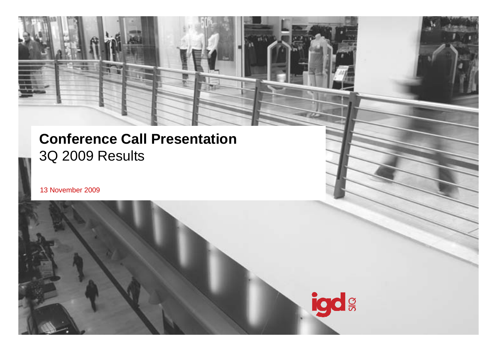### **Conference Call Presentation** 3Q 2009 Results

13 N ovember 2009

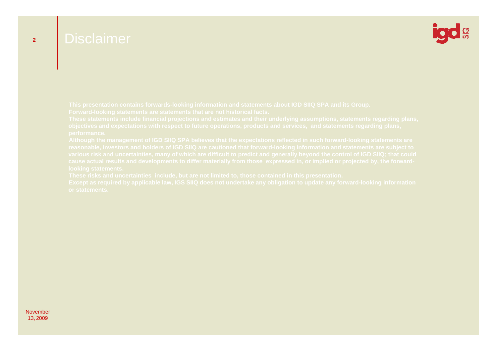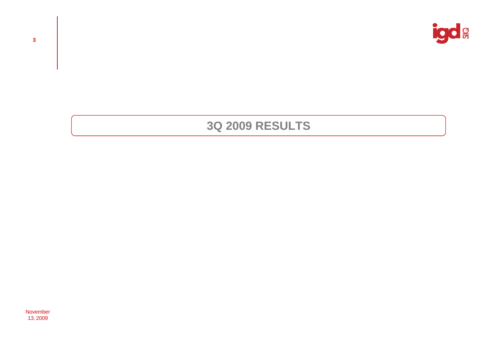

### **3Q 2009 RESULTS**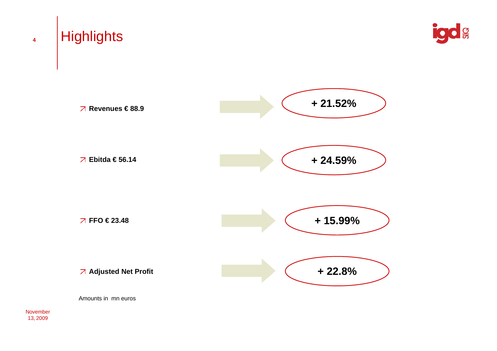

 $\frac{Q}{\overline{O}}$ 

Amounts in mn euros

November 13, 2009

**4**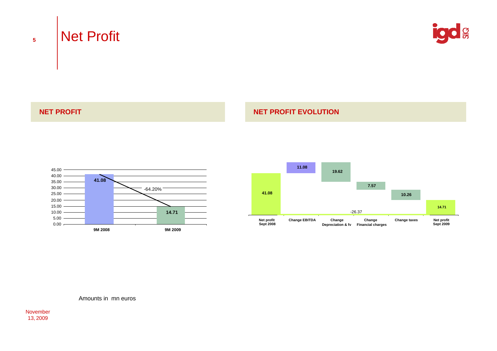# Net Profit



### **NET PROFIT**

### **NET PROFIT EVOLUTION**





Amounts in mn euros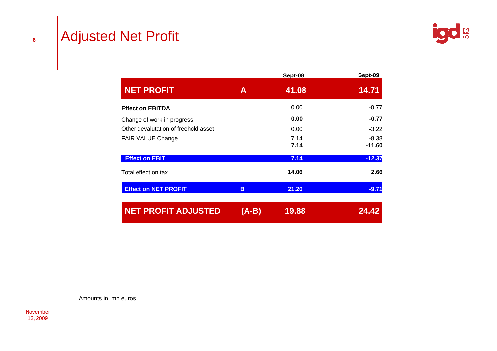# Adjusted Net Profit

|                                      |       | Sept-08      | Sept-09             |
|--------------------------------------|-------|--------------|---------------------|
| <b>NET PROFIT</b>                    | A     | 41.08        | 14.71               |
| <b>Effect on EBITDA</b>              |       | 0.00         | $-0.77$             |
| Change of work in progress           |       | 0.00         | $-0.77$             |
| Other devalutation of freehold asset |       | 0.00         | $-3.22$             |
| <b>FAIR VALUE Change</b>             |       | 7.14<br>7.14 | $-8.38$<br>$-11.60$ |
| <b>Effect on EBIT</b>                |       | 7.14         | $-12.37$            |
| Total effect on tax                  |       | 14.06        | 2.66                |
| <b>Effect on NET PROFIT</b>          | B     | 21.20        | $-9.71$             |
| <b>NET PROFIT ADJUSTED</b>           | (A-B) | 19.88        | 24.42               |

Amounts in mn euros

November 13, 2009

**6**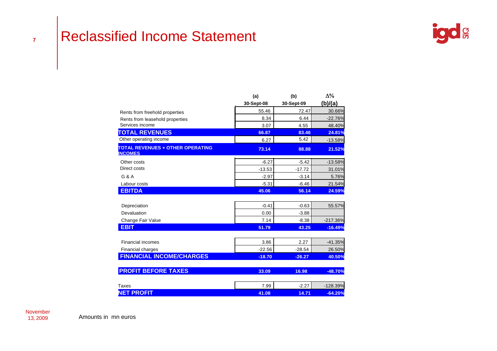### Reclassified Income Statement



|                                                           | (a)        | (b)        | $\Delta\%$ |
|-----------------------------------------------------------|------------|------------|------------|
|                                                           | 30-Sept-08 | 30-Sept-09 | (b)/(a)    |
| Rents from freehold properties                            | 55.46      | 72.47      | 30.66%     |
| Rents from leasehold properties                           | 8.34       | 6.44       | $-22.76%$  |
| Services income                                           | 3.07       | 4.55       | 48.40%     |
| <b>TOTAL REVENUES</b>                                     | 66.87      | 83.46      | 24.81%     |
| Other operating income                                    | 6.27       | 5.42       | $-13.58%$  |
| <b>TOTAL REVENUES + OTHER OPERATING</b><br><b>INCOMES</b> | 73.14      | 88.88      | 21.52%     |
| Other costs                                               | $-6.27$    | $-5.42$    | $-13.58%$  |
| Direct costs                                              | $-13.53$   | $-17.72$   | 31.01%     |
| $G$ & A                                                   | $-2.97$    | $-3.14$    | 5.76%      |
| Labour costs                                              | $-5.31$    | $-6.46$    | 21.54%     |
| <b>EBITDA</b>                                             | 45.06      | 56.14      | 24.59%     |
| Depreciation                                              | $-0.41$    | $-0.63$    | 55.57%     |
| Devaluation                                               | 0.00       | $-3.88$    |            |
| Change Fair Value                                         | 7.14       | $-8.38$    | $-217.36%$ |
| <b>EBIT</b>                                               | 51.79      | 43.25      | $-16.49%$  |
| <b>Financial incomes</b>                                  | 3.86       | 2.27       | $-41.35%$  |
| Financial charges                                         | $-22.56$   | $-28.54$   | 26.50%     |
| <b>FINANCIAL INCOME/CHARGES</b>                           | $-18.70$   | $-26.27$   | 40.50%     |
| <b>PROFIT BEFORE TAXES</b>                                | 33.09      | 16.98      | $-48.70%$  |
| Taxes                                                     | 7.99       | $-2.27$    | $-128.39%$ |
| <b>NET PROFIT</b>                                         | 41.08      | 14.71      | $-64.20%$  |

**7**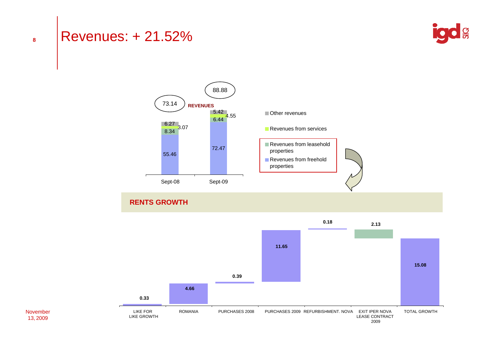### Revenues: + 21.52%





### **RENTS GROWTH**

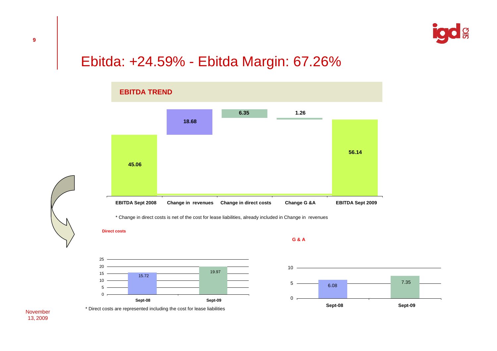

## Ebitda: +24.59% - Ebitda Margin: 67.26%



\* Change in direct costs is net of the cost for lease liabilities, already included in Change in revenues

**Direct costs**





\* Direct costs are represented including the cost for lease liabilities

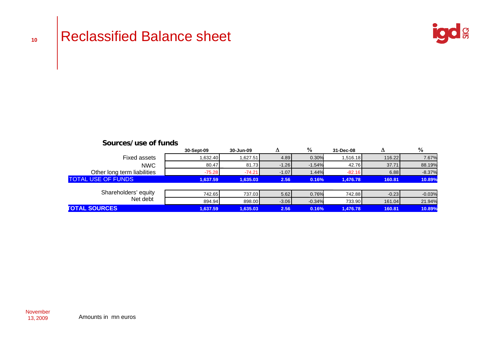

| Sources/use of funds             |            |           |         |          |           |         |          |
|----------------------------------|------------|-----------|---------|----------|-----------|---------|----------|
|                                  | 30-Sept-09 | 30-Jun-09 | Δ       | %        | 31-Dec-08 | Δ       | %        |
| <b>Fixed assets</b>              | 1,632.40   | 1,627.51  | 4.89    | 0.30%    | 1,516.18  | 116.22  | 7.67%    |
| <b>NWC</b>                       | 80.47      | 81.73     | $-1.26$ | $-1.54%$ | 42.76     | 37.71   | 88.19%   |
| Other long term liabilities      | $-75.28$   | $-74.21$  | $-1.07$ | 1.44%    | $-82.16$  | 6.88    | $-8.37%$ |
| <b>TOTAL USE OF FUNDS</b>        | 1.637.59   | 1.635.03  | 2.56    | 0.16%    | 1.476.78  | 160.81  | 10.89%   |
|                                  |            |           |         |          |           |         |          |
| Shareholders' equity<br>Net debt | 742.65     | 737.03    | 5.62    | 0.76%    | 742.88    | $-0.23$ | $-0.03%$ |
|                                  | 894.94     | 898.00    | $-3.06$ | $-0.34%$ | 733.90    | 161.04  | 21.94%   |
| <b>TOTAL SOURCES</b>             | 1,637.59   | 1,635.03  | 2.56    | 0.16%    | 1,476.78  | 160.81  | 10.89%   |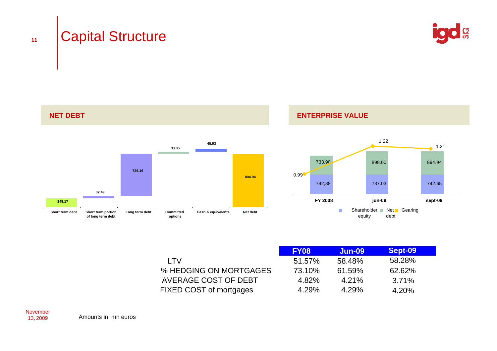**11**





**ENTERPRISE VALUE**



|                         | <b>FY08</b> | <b>Jun-09</b> | Sept-09 |  |
|-------------------------|-------------|---------------|---------|--|
| I TV                    | 51.57%      | 58.48%        | 58.28%  |  |
| % HEDGING ON MORTGAGES  | 73.10%      | 61.59%        | 62.62%  |  |
| AVERAGE COST OF DEBT    | 4.82%       | 4.21%         | 3.71%   |  |
| FIXED COST of mortgages | 4.29%       | 4.29%         | 4.20%   |  |



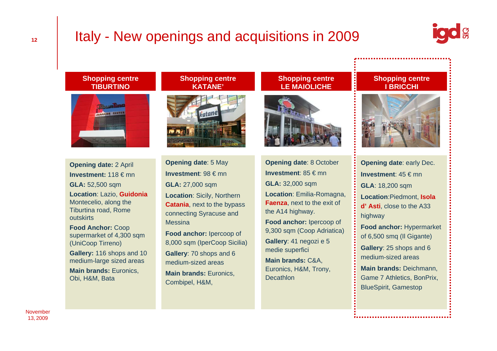# Italy - New openings and acquisitions in 2009



#### **Shopping centre TIBURTINO**



**Opening date:** 2 April **Investment:** 118 € mn **GLA:** 52,500 sqm **Location**: Lazio, **Guidonia**  Montecelio, along the Tiburtina road, Rome outskirts**Food Anchor:** Coop supermarket of 4,300 sqm (UniCoop Tirreno) **Gallery:** 116 shops and 10 medium-large sized areas

**Main brands:** Euronics, Obi, H&M, Bata

### **Shopping centre KATANE'**



**Opening date**: 5 May **Investment**: 98 € mn **GLA:** 27,000 sqm **Location**: Sicily, Northern **Catania**, next to the bypass connecting Syracuse and Messina **Food anchor:** Ipercoop of 8,000 sqm (IperCoop Sicilia) **Gallery**: 70 shops and 6

medium-sized areas **Main brands:** Euronics, Combipel, H&M,

### **Shopping centre LE MAIOLICHE**



**Opening date**: 8 October **Investment**: 85 € mn **GLA:** 32,000 sqm **Location**: Emilia-Romagna, **Faenza**, next to the exit of the A14 highway. **Food anchor:** Ipercoop of 9,300 sqm (Coop Adriatica) **Gallery**: 41 negozi e 5 medie superfici **Main brands:** C&A, Euronics, H&M, Trony, **Decathlon** 

#### **Shopping centre I BRICCHI**



**Opening date**: early Dec. **Investment**: 45 € mn **GLA**: 18,200 sqm **Location**:Piedmont, **Isola d' Asti**, close to the A33 highway **Food anchor:** Hypermarket of 6,500 smq (Il Gigante) **Gallery**: 25 shops and 6 medium-sized areas**Main brands:** Deichmann, Game 7 Athletics, BonPrix, BlueSpirit, Gamestop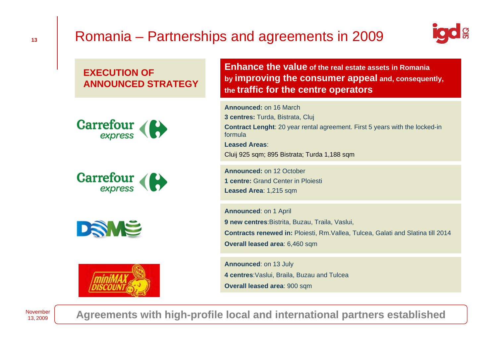# Romania – Partnerships and agreements in 2009



### **EXECUTION OFANNOUNCED STRATEGY**









**Enhance the value of the real estate assets in Romania by improving the consumer appeal and, consequently, the traffic for the centre operators**

**Announced:** on 16 March **3 centres:** Turda, Bistrata, Cluj **Contract Lenght**: 20 year rental agreement. First 5 years with the locked-in formula**Leased Areas**: Cluij 925 sqm; 895 Bistrata; Turda 1,188 sqm

**Announced:** on 12 October **1 centre:** Grand Center in Ploiesti Leased Area: 1,215 sqm

**Announced**: on 1 April **9 new centres**:Bistrita, Buzau, Traila, Vaslui, **Contracts renewed in:** Ploiesti, Rm.Vallea, Tulcea, Galati and Slatina till 2014 **Overall leased area**: 6,460 sqm

**Announced**: on 13 July **4 centres**:Vaslui, Braila, Buzau and Tulcea **Overall leased area**: 900 sqm

November 13, 2009

**Agreements with high-profile local and international partners established**